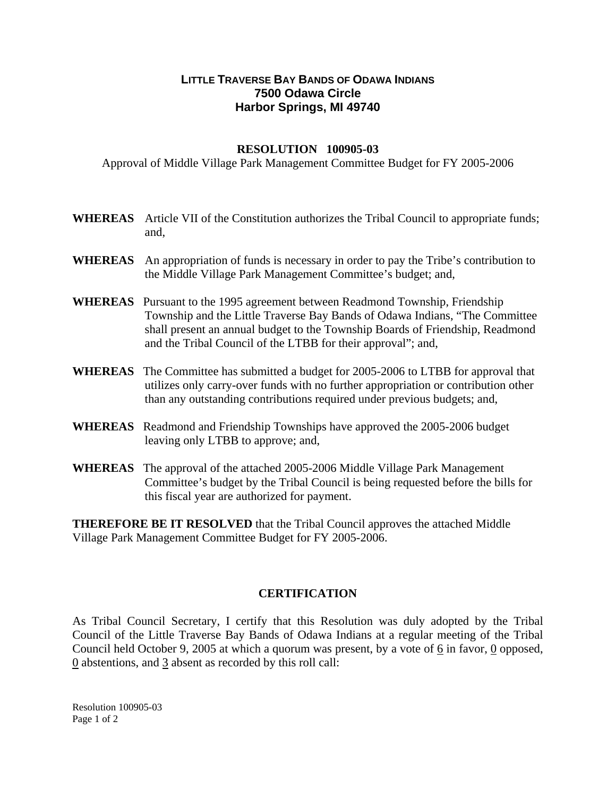## **LITTLE TRAVERSE BAY BANDS OF ODAWA INDIANS 7500 Odawa Circle Harbor Springs, MI 49740**

## **RESOLUTION 100905-03**

Approval of Middle Village Park Management Committee Budget for FY 2005-2006

- **WHEREAS** Article VII of the Constitution authorizes the Tribal Council to appropriate funds; and,
- **WHEREAS** An appropriation of funds is necessary in order to pay the Tribe's contribution to the Middle Village Park Management Committee's budget; and,
- **WHEREAS** Pursuant to the 1995 agreement between Readmond Township, Friendship Township and the Little Traverse Bay Bands of Odawa Indians, "The Committee shall present an annual budget to the Township Boards of Friendship, Readmond and the Tribal Council of the LTBB for their approval"; and,
- **WHEREAS** The Committee has submitted a budget for 2005-2006 to LTBB for approval that utilizes only carry-over funds with no further appropriation or contribution other than any outstanding contributions required under previous budgets; and,
- **WHEREAS** Readmond and Friendship Townships have approved the 2005-2006 budget leaving only LTBB to approve; and,
- **WHEREAS** The approval of the attached 2005-2006 Middle Village Park Management Committee's budget by the Tribal Council is being requested before the bills for this fiscal year are authorized for payment.

**THEREFORE BE IT RESOLVED** that the Tribal Council approves the attached Middle Village Park Management Committee Budget for FY 2005-2006.

## **CERTIFICATION**

As Tribal Council Secretary, I certify that this Resolution was duly adopted by the Tribal Council of the Little Traverse Bay Bands of Odawa Indians at a regular meeting of the Tribal Council held October 9, 2005 at which a quorum was present, by a vote of 6 in favor, 0 opposed, 0 abstentions, and 3 absent as recorded by this roll call:

Resolution 100905-03 Page 1 of 2